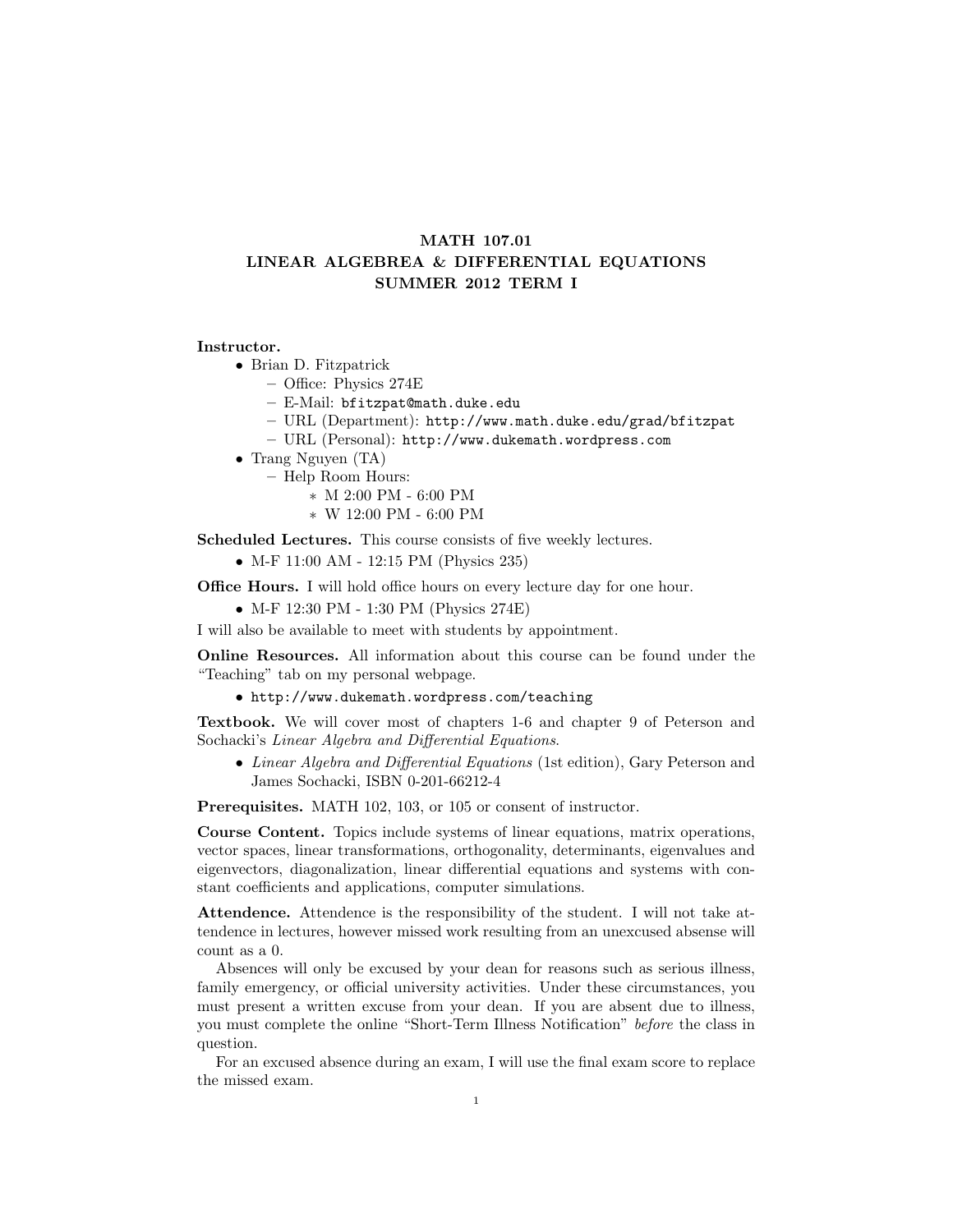## MATH 107.01 LINEAR ALGEBREA & DIFFERENTIAL EQUATIONS SUMMER 2012 TERM I

## Instructor.

• Brian D. Fitzpatrick

– Office: Physics 274E

– E-Mail: bfitzpat@math.duke.edu

– URL (Department): http://www.math.duke.edu/grad/bfitzpat

– URL (Personal): http://www.dukemath.wordpress.com

- Trang Nguyen (TA)
	- Help Room Hours:
		- ∗ M 2:00 PM 6:00 PM
		- ∗ W 12:00 PM 6:00 PM

Scheduled Lectures. This course consists of five weekly lectures.

• M-F 11:00 AM - 12:15 PM (Physics 235)

**Office Hours.** I will hold office hours on every lecture day for one hour.

• M-F 12:30 PM - 1:30 PM (Physics 274E)

I will also be available to meet with students by appointment.

Online Resources. All information about this course can be found under the "Teaching" tab on my personal webpage.

• http://www.dukemath.wordpress.com/teaching

Textbook. We will cover most of chapters 1-6 and chapter 9 of Peterson and Sochacki's Linear Algebra and Differential Equations.

• Linear Algebra and Differential Equations (1st edition), Gary Peterson and James Sochacki, ISBN 0-201-66212-4

Prerequisites. MATH 102, 103, or 105 or consent of instructor.

Course Content. Topics include systems of linear equations, matrix operations, vector spaces, linear transformations, orthogonality, determinants, eigenvalues and eigenvectors, diagonalization, linear differential equations and systems with constant coefficients and applications, computer simulations.

Attendence. Attendence is the responsibility of the student. I will not take attendence in lectures, however missed work resulting from an unexcused absense will count as a 0.

Absences will only be excused by your dean for reasons such as serious illness, family emergency, or official university activities. Under these circumstances, you must present a written excuse from your dean. If you are absent due to illness, you must complete the online "Short-Term Illness Notification" before the class in question.

For an excused absence during an exam, I will use the final exam score to replace the missed exam.